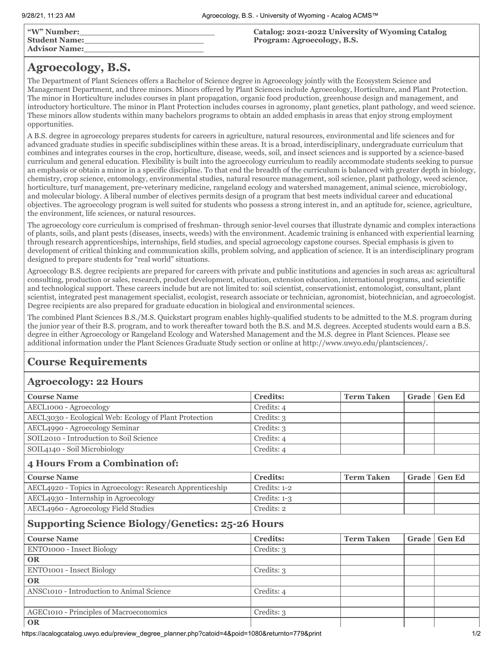| <b>W"</b> Number:    | Catalog: 2021-2022 University of Wyoming Catalog |
|----------------------|--------------------------------------------------|
| <b>Student Name:</b> | Program: Agroecology, B.S.                       |
| <b>Advisor Name:</b> |                                                  |

## **Agroecology, B.S.**

The Department of Plant Sciences offers a Bachelor of Science degree in Agroecology jointly with the Ecosystem Science and Management Department, and three minors. Minors offered by Plant Sciences include Agroecology, Horticulture, and Plant Protection. The minor in Horticulture includes courses in plant propagation, organic food production, greenhouse design and management, and introductory horticulture. The minor in Plant Protection includes courses in agronomy, plant genetics, plant pathology, and weed science. These minors allow students within many bachelors programs to obtain an added emphasis in areas that enjoy strong employment opportunities.

A B.S. degree in agroecology prepares students for careers in agriculture, natural resources, environmental and life sciences and for advanced graduate studies in specific subdisciplines within these areas. It is a broad, interdisciplinary, undergraduate curriculum that combines and integrates courses in the crop, horticulture, disease, weeds, soil, and insect sciences and is supported by a science-based curriculum and general education. Flexibility is built into the agroecology curriculum to readily accommodate students seeking to pursue an emphasis or obtain a minor in a specific discipline. To that end the breadth of the curriculum is balanced with greater depth in biology, chemistry, crop science, entomology, environmental studies, natural resource management, soil science, plant pathology, weed science, horticulture, turf management, pre-veterinary medicine, rangeland ecology and watershed management, animal science, microbiology, and molecular biology. A liberal number of electives permits design of a program that best meets individual career and educational objectives. The agroecology program is well suited for students who possess a strong interest in, and an aptitude for, science, agriculture, the environment, life sciences, or natural resources.

The agroecology core curriculum is comprised of freshman- through senior-level courses that illustrate dynamic and complex interactions of plants, soils, and plant pests (diseases, insects, weeds) with the environment. Academic training is enhanced with experiential learning through research apprenticeships, internships, field studies, and special agroecology capstone courses. Special emphasis is given to development of critical thinking and communication skills, problem solving, and application of science. It is an interdisciplinary program designed to prepare students for "real world" situations.

Agroecology B.S. degree recipients are prepared for careers with private and public institutions and agencies in such areas as: agricultural consulting, production or sales, research, product development, education, extension education, international programs, and scientific and technological support. These careers include but are not limited to: soil scientist, conservationist, entomologist, consultant, plant scientist, integrated pest management specialist, ecologist, research associate or technician, agronomist, biotechnician, and agroecologist. Degree recipients are also prepared for graduate education in biological and environmental sciences.

The combined Plant Sciences B.S./M.S. Quickstart program enables highly-qualified students to be admitted to the M.S. program during the junior year of their B.S. program, and to work thereafter toward both the B.S. and M.S. degrees. Accepted students would earn a B.S. degree in either Agroecology or Rangeland Ecology and Watershed Management and the M.S. degree in Plant Sciences. Please see additional information under the Plant Sciences Graduate Study section or online at http://www.uwyo.edu/plantsciences/.

## **Course Requirements**

## **Agroecology: 22 Hours**

| <b>Course Name</b>                                        | <b>Credits:</b> | <b>Term Taken</b> | Grade | <b>Gen Ed</b> |
|-----------------------------------------------------------|-----------------|-------------------|-------|---------------|
| AECL1000 - Agroecology                                    | Credits: 4      |                   |       |               |
| AECL3030 - Ecological Web: Ecology of Plant Protection    | Credits: 3      |                   |       |               |
| AECL4990 - Agroecology Seminar                            | Credits: 3      |                   |       |               |
| SOIL2010 - Introduction to Soil Science                   | Credits: 4      |                   |       |               |
| SOIL4140 - Soil Microbiology                              | Credits: 4      |                   |       |               |
| 4 Hours From a Combination of:                            |                 |                   |       |               |
| <b>Course Name</b>                                        | <b>Credits:</b> | <b>Term Taken</b> | Grade | <b>Gen Ed</b> |
| AECL4920 - Topics in Agroecology: Research Apprenticeship | Credits: 1-2    |                   |       |               |
| AECL4930 - Internship in Agroecology                      | Credits: $1-3$  |                   |       |               |
| AECL4960 - Agroecology Field Studies                      | Credits: 2      |                   |       |               |
| <b>Supporting Science Biology/Genetics: 25-26 Hours</b>   |                 |                   |       |               |
| <b>Course Name</b>                                        | <b>Credits:</b> | <b>Term Taken</b> | Grade | <b>Gen Ed</b> |
| ENTO1000 - Insect Biology                                 | Credits: 3      |                   |       |               |
| <b>OR</b>                                                 |                 |                   |       |               |
| ENTO1001 - Insect Biology                                 | Credits: 3      |                   |       |               |
| <b>OR</b>                                                 |                 |                   |       |               |
| ANSC1010 - Introduction to Animal Science                 | Credits: 4      |                   |       |               |
|                                                           |                 |                   |       |               |
| AGEC1010 - Principles of Macroeconomics                   | Credits: 3      |                   |       |               |
|                                                           |                 |                   |       |               |